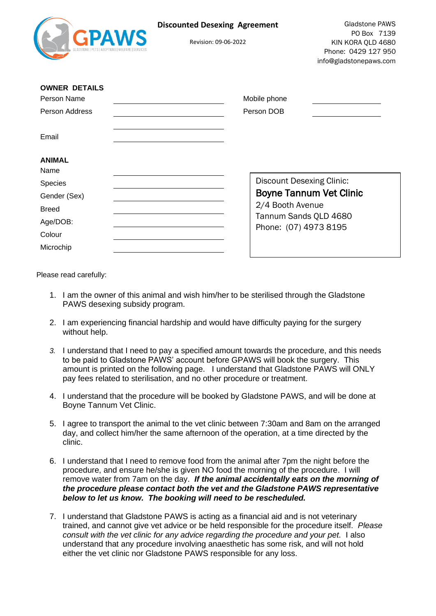| <b>GPAWS</b>                        | <b>Discounted Desexing Agreement</b><br>Revision: 09-06-2022 |                                  | Gladstone PAWS<br>PO Box 7139<br>KIN KORA QLD 4680<br>Phone: 0429 127 950<br>info@gladstonepaws.com |
|-------------------------------------|--------------------------------------------------------------|----------------------------------|-----------------------------------------------------------------------------------------------------|
| <b>OWNER DETAILS</b><br>Person Name |                                                              | Mobile phone                     |                                                                                                     |
| <b>Person Address</b>               |                                                              | Person DOB                       |                                                                                                     |
| Email                               |                                                              |                                  |                                                                                                     |
| <b>ANIMAL</b><br>Name               |                                                              |                                  |                                                                                                     |
| Species                             |                                                              | <b>Discount Desexing Clinic:</b> |                                                                                                     |
| Gender (Sex)                        |                                                              |                                  | <b>Boyne Tannum Vet Clinic</b>                                                                      |
| <b>Breed</b>                        |                                                              | 2/4 Booth Avenue                 |                                                                                                     |
| Age/DOB:                            |                                                              | Tannum Sands QLD 4680            |                                                                                                     |
| Colour                              |                                                              | Phone: (07) 4973 8195            |                                                                                                     |
| Microchip                           |                                                              |                                  |                                                                                                     |

Please read carefully:

- 1. I am the owner of this animal and wish him/her to be sterilised through the Gladstone PAWS desexing subsidy program.
- 2. I am experiencing financial hardship and would have difficulty paying for the surgery without help.
- *3.* I understand that I need to pay a specified amount towards the procedure, and this needs to be paid to Gladstone PAWS' account before GPAWS will book the surgery. This amount is printed on the following page. I understand that Gladstone PAWS will ONLY pay fees related to sterilisation, and no other procedure or treatment.
- 4. I understand that the procedure will be booked by Gladstone PAWS, and will be done at Boyne Tannum Vet Clinic.
- 5. I agree to transport the animal to the vet clinic between 7:30am and 8am on the arranged day, and collect him/her the same afternoon of the operation, at a time directed by the clinic.
- 6. I understand that I need to remove food from the animal after 7pm the night before the procedure, and ensure he/she is given NO food the morning of the procedure. I will remove water from 7am on the day. *If the animal accidentally eats on the morning of the procedure please contact both the vet and the Gladstone PAWS representative below to let us know. The booking will need to be rescheduled.*
- 7. I understand that Gladstone PAWS is acting as a financial aid and is not veterinary trained, and cannot give vet advice or be held responsible for the procedure itself. *Please consult with the vet clinic for any advice regarding the procedure and your pet.* I also understand that any procedure involving anaesthetic has some risk, and will not hold either the vet clinic nor Gladstone PAWS responsible for any loss.